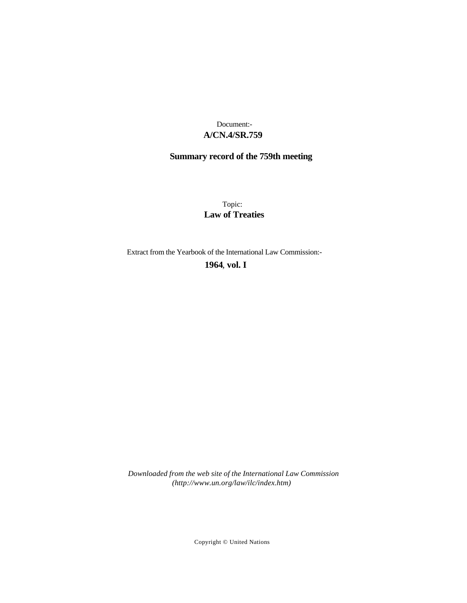## **A/CN.4/SR.759** Document:-

# **Summary record of the 759th meeting**

Topic: **Law of Treaties**

Extract from the Yearbook of the International Law Commission:-

**1964** , **vol. I**

*Downloaded from the web site of the International Law Commission (http://www.un.org/law/ilc/index.htm)*

Copyright © United Nations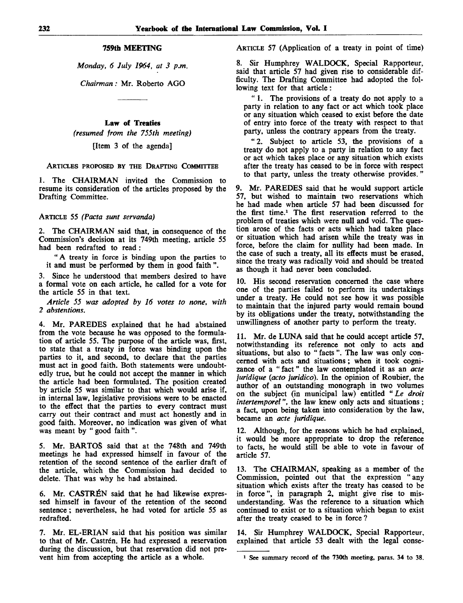### **759th MEETING**

*Monday, 6 July 1964, at 3 p.m.*

*Chairman:* Mr. Roberto AGO

#### **Law** of **Treaties**

*(resumed from the 755th meeting)*

[Item 3 of the agenda]

ARTICLES PROPOSED BY THE DRAFTING COMMITTEE

1. The CHAIRMAN invited the Commission to resume its consideration of the articles proposed by the Drafting Committee.

ARTICLE 55 *(Pacta sunt servanda)*

2. The CHAIRMAN said that, in consequence of the Commission's decision at its 749th meeting, article 55 had been redrafted to read:

"A treaty in force is binding upon the parties to it and must be performed by them in good faith ".

3. Since he understood that members desired to have a formal vote on each article, he called for a vote for the article 55 in that text.

*Article 55 was adopted by 16 votes to none, with 2 abstentions.*

4. Mr. PAREDES explained that he had abstained from the vote because he was opposed to the formulation of article 55. The purpose of the article was, first, to state that a treaty in force was binding upon the parties to it, and second, to declare that the parties must act in good faith. Both statements were undoubtedly true, but he could not accept the manner in which the article had been formulated. The position created by article 55 was similar to that which would arise if, in internal law, legislative provisions were to be enacted to the effect that the parties to every contract must carry out their contract and must act honestly and in good faith. Moreover, no indication was given of what was meant by " good faith ".

5. Mr. BARTOS said that at the 748th and 749th meetings he had expressed himself in favour of the retention of the second sentence of the earlier draft of the article, which the Commission had decided to delete. That was why he had abstained.

6. Mr. CASTRÉN said that he had likewise expressed himself in favour of the retention of the second sentence; nevertheless, he had voted for article 55 as redrafted.

7. Mr. EL-ERIAN said that his position was similar to that of Mr. Castrén. He had expressed a reservation during the discussion, but that reservation did not prevent him from accepting the article as a whole.

ARTICLE 57 (Application of a treaty in point of time)

8. Sir Humphrey WALDOCK, Special Rapporteur, said that article 57 had given rise to considerable difficulty. The Drafting Committee had adopted the following text for that article:

" 1. The provisions of a treaty do not apply to a party in relation to any fact or act which took place or any situation which ceased to exist before the date of entry into force of the treaty with respect to that party, unless the contrary appears from the treaty.

" 2. Subject to article 53, the provisions of a treaty do not apply to a party in relation to any fact or act which takes place or any situation which exists after the treaty has ceased to be in force with respect to that party, unless the treaty otherwise provides."

9. Mr. PAREDES said that he would support article 57, but wished to maintain two reservations which he had made when article 57 had been discussed for the first time.<sup>1</sup> The first reservation referred to the problem of treaties which were null and void. The question arose of the facts or acts which had taken place or situation which had arisen while the treaty was in force, before the claim for nullity had been made. In the case of such a treaty, all its effects must be erased, since the treaty was radically void and should be treated as though it had never been concluded.

10. His second reservation concerned the case where one of the parties failed to perform its undertakings under a treaty. He could not see how it was possible to maintain that the injured party would remain bound by its obligations under the treaty, notwithstanding the unwillingness of another party to perform the treaty.

11. Mr. de LUNA said that he could accept article 57, notwithstanding its reference not only to acts and situations, but also to " facts ". The law was only concerned with acts and situations ; when it took cognizance of a "fact" the law contemplated it as an *acte juridique (acto juridico).* In the opinion of Roubier, the author of an outstanding monograph in two volumes on the subject (in municipal law) entitled " *Le droit intertemporel",* the law knew only acts and situations ; a fact, upon being taken into consideration by the law, became an *acte juridique.*

12. Although, for the reasons which he had explained, it would be more appropriate to drop the reference to facts, he would still be able to vote in favour of article 57.

13. The CHAIRMAN, speaking as a member of the Commission, pointed out that the expression "any situation which exists after the treaty has ceased to be in force", in paragraph 2, might give rise to misunderstanding. Was the reference to a situation which continued to exist or to a situation which began to exist after the treaty ceased to be in force ?

14. Sir Humphrey WALDOCK, Special Rapporteur, explained that article 53 dealt with the legal conse-

<sup>1</sup> See summary record of the 730th meeting, paras. 34 to 38.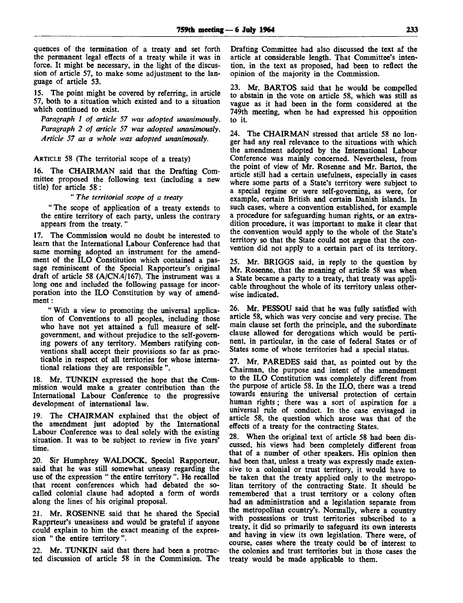quences of the termination of a treaty and set forth the permanent legal effects of a treaty while it was in force. It might be necessary, in the light of the discussion of article 57, to make some adjustment to the language of article 53.

15. The point might be covered by referring, in article 57, both to a situation which existed and to a situation which continued to exist.

*Paragraph 1 of article 57 was adopted unanimously. Paragraph 2 of article 57 was adopted unanimously. Article 57 as a whole was adopted unanimously.*

ARTICLE 58 (The territorial scope of a treaty)

16. The CHAIRMAN said that the Drafting Committee proposed the following text (including a new title) for article 58:

### " *The territorial scope of a treaty*

"The scope of application of a treaty extends to the entire territory of each party, unless the contrary appears from the treaty. "

17. The Commission would no doubt be interested to learn that the International Labour Conference had that same morning adopted an instrument for the amendment of the ILO Constitution which contained a passage reminiscent of the Special Rapporteur's original draft of article 58 (A/CN.4/167). The instrument was a long one and included the following passage for incorporation into the ILO Constitution by way of amendment :

" With a view to promoting the universal application of Conventions to all peoples, including those who have not yet attained a full measure of selfgovernment, and without prejudice to the self-governing powers of any territory. Members ratifying conventions shall accept their provisions so far as practicable in respect of all territories for whose international relations they are responsible".

18. Mr. TUNKIN expressed the hope that the Commission would make a greater contribution than the International Labour Conference to the progressive development of international law.

19. The CHAIRMAN explained that the object of the amendment just adopted by the International Labour Conference was to deal solely with the existing situation. It was to be subject to review in five years' time.

20. Sir Humphrey WALDOCK, Special Rapporteur, said that he was still somewhat uneasy regarding the use of the expression " the entire territory ". He recalled that recent conferences which had debated the socalled colonial clause had adopted a form of words along the lines of his original proposal.

21. Mr. ROSENNE said that he shared the Special Rapprteur's uneasiness and would be grateful if anyone could explain to him the exact meaning of the expression " the entire territory ".

22. Mr. TUNKIN said that there had been a protracted discussion of article 58 in the Commission. The Drafting Committee had also discussed the text af the article at considerable length. That Committee's intention, in the text as proposed, had been to reflect the opinion of the majority in the Commission.

23. Mr. BARTOS said that he would be compelled to abstain in the vote on article 58, which was still as vague as it had been in the form considered at the 749th meeting, when he had expressed his opposition to it.

24. The CHAIRMAN stressed that article 58 no longer had any real relevance to the situations with which the amendment adopted by the International Labour Conference was mainly concerned. Nevertheless, from the point of view of Mr. Rosenne and Mr. Bartos, the article still had a certain usefulness, especially in cases where some parts of a State's territory were subject to a special regime or were self-governing, as were, for example, certain British and certain Danish islands. In such cases, where a convention established, for example a procedure for safeguarding human rights, or an extradition procedure, it was important to make it clear that the convention would apply to the whole of the State's territory so that the State could not argue that the convention did not apply to a certain part of its territory.

25. Mr. BRIGGS said, in reply to the question by Mr. Rosenne, that the meaning of article 58 was when a State became a party to a treaty, that treaty was applicable throughout the whole of its territory unless otherwise indicated.

26. Mr. PESSOU said that he was fully satisfied with article 58, which was very concise and very precise. The main clause set forth the principle, and the subordinate clause allowed for derogations which would be pertinent, in particular, in the case of federal States or of States some of whose territories had a special status.

27. Mr. PAREDES said that, as pointed out by the Chairman, the purpose and intent of the amendment to the ILO Constitution was completely different from the purpose of article 58. In the ILO, there was a trend towards ensuring the universal protection of certain human rights ; there was a sort of aspiration for a universal rule of conduct. In the case envisaged in article 58, the question which arose was that of the effects of a treaty for the contracting States.

When the original text of article 58 had been discussed, his views had been completely different from that of a number of other speakers. His opinion then had been that, unless a treaty was expressly made extensive to a colonial or trust territory, it would have to be taken that the treaty applied only to the metropolitan territory of the contracting State. It should be remembered that a trust territory or a colony often had an administration and a legislation separate from the metropolitan country's. Normally, where a country with possessions or trust territories subscribed to a treaty, it did so primarily to safeguard its own interests and having in view its own legislation. There were, of course, cases where the treaty could be of interest to the colonies and trust territories but in those cases the treaty would be made applicable to them.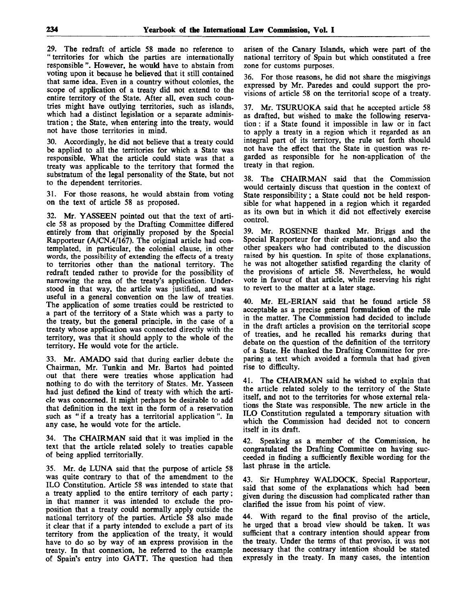29. The redraft of article 58 made no reference to " territories for which the parties are internationally responsible ". However, he would have to abstain from voting upon it because he believed that it still contained that same idea. Even in a country without colonies, the scope of application of a treaty did not extend to the entire territory of the State. After all, even such countries might have outlying territories, such as islands, which had a distinct legislation or a separate administration ; the State, when entering into the treaty, would not have those territories in mind.

30. Accordingly, he did not believe that a treaty could be applied to all the territories for which a State was responsible. What the article could state was that a treaty was applicable to the territory that formed the substratum of the legal personality of the State, but not to the dependent territories.

31. For those reasons, he would abstain from voting on the text of article 58 as proposed.

32. Mr. YASSEEN pointed out that the text of article 58 as proposed by the Drafting Committee differed entirely from that originally proposed by the Special Rapporteur (A/CN.4/167). The original article had contemplated, in particular, the colonial clause, in other words, the possibility of extending the effects of a treaty to territories other than the national territory. The redraft tended rather to provide for the possibility of narrowing the area of the treaty's application. Understood in that way, the article was justified, and was useful in a general convention on the law of treaties. The application of some treaties could be restricted to a part of the territory of a State which was a party to the treaty, but the general principle, in the case of a treaty whose application was connected directly with the territory, was that it should apply to the whole of the territory. He would vote for the article.

33. Mr. AMADO said that during earlier debate the Chairman, Mr. Tunkin and Mr. Bartos had pointed out that there were treaties whose application had nothing to do with the territory of States. Mr. Yasseen had just defined the kind of treaty with which the article was concerned. It might perhaps be desirable to add that definition in the text in the form of a reservation such as " if a treaty has a territorial application". In any case, he would vote for the article.

34. The CHAIRMAN said that it was implied in the text that the article related solely to treaties capable of being applied territorially.

35. Mr. de LUNA said that the purpose of article 58 was quite contrary to that of the amendment to the ILO Constitution. Article 58 was intended to state that a treaty applied to the entire territory of each party; in that manner it was intended to exclude the proposition that a treaty could normally apply outside the national territory of the parties. Article 58 also made it clear that if a party intended to exclude a part of its territory from the application of the treaty, it would have to do so by way of an express provision in the treaty. In that connexion, he referred to the example of Spain's entry into GATT. The question had then arisen of the Canary Islands, which were part of the national territory of Spain but which constituted a free zone for customs purposes.

36. For those reasons, he did not share the misgivings expressed by Mr. Paredes and could support the provisions of article 58 on the territorial scope of a treaty.

37. Mr. TSURUOKA said that he accepted article 58 as drafted, but wished to make the following reservation : if a State found it impossible in law or in fact to apply a treaty in a region which it regarded as an integral part of its territory, the rule set forth should not have the effect that the State in question was regarded as responsible for he non-application of the treaty in that region.

38. The CHAIRMAN said that the Commission would certainly discuss that question in the context of State responsibility; a State could not be held responsible for what happened in a region which it regarded as its own but in which it did not effectively exercise control.

39. Mr. ROSENNE thanked Mr. Briggs and the Special Rapporteur for their explanations, and also the other speakers who had contributed to the discussion raised by his question. In spite of those explanations, he was not altogether satisfied regarding the clarity of the provisions of article 58. Nevertheless, he would vote in favour of that article, while reserving his right to revert to the matter at a later stage.

40. Mr. EL-ERIAN said that he found article 58 acceptable as a precise general formulation of the rule in the matter. The Commission had decided to include in the draft articles a provision on the territorial scope of treaties, and he recalled his remarks during that debate on the question of the definition of the territory of a State. He thanked the Drafting Committee for preparing a text which avoided a formula that had given rise to difficulty.

41. The CHAIRMAN said he wished to explain that the article related solely to the territory of the State itself, and not to the territories for whose external relations the State was responsible. The new article in the ILO Constitution regulated a temporary situation with which the Commission had decided not to concern itself in its draft.

42. Speaking as a member of the Commission, he congratulated the Drafting Committee on having succeeded in finding a sufficiently flexible wording for the last phrase in the article.

43. Sir Humphrey WALDOCK, Special Rapporteur, said that some of the explanations which had been given during the discussion had complicated rather than clarified the issue from his point of view.

44. With regard to the final proviso of the article, he urged that a broad view should be taken. It was sufficient that a contrary intention should appear from the treaty. Under the terms of that proviso, it was not necessary that the contrary intention should be stated expressly in the treaty. In many cases, the intention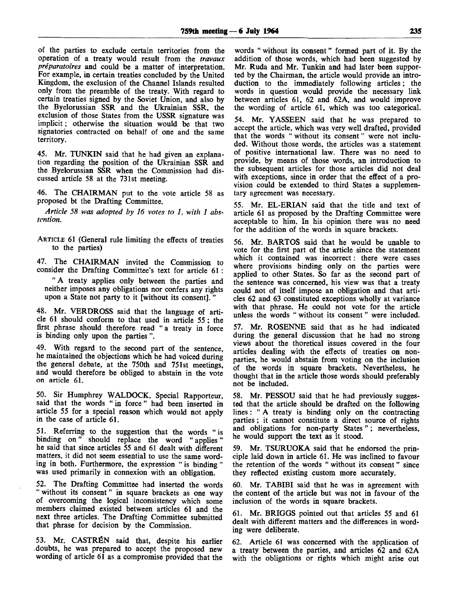of the parties to exclude certain territories from the operation of a treaty would result from the *travaux preparatoires* and could be a matter of interpretation. For example, in certain treaties concluded by the United Kingdom, the exclusion of the Channel Islands resulted only from the preamble of the treaty. With regard to certain treaties signed by the Soviet Union, and also by the Byelorussian SSR and the Ukrainian SSR, the exclusion of those States from the USSR signature was implicit; otherwise the situation would be that two signatories contracted on behalf of one and the same territory.

45. Mr. TUNKIN said that he had given an explanation regarding the position of the Ukrainian SSR and the Byelorussian SSR when the Commission had discussed article 58 at the 731st meeting.

46. The CHAIRMAN put to the vote article 58 as proposed bt the Drafting Committee.

*Article 58 was adopted by 16 votes to 1, with 1 abstention.*

ARTICLE 61 (General rule limiting the effects of treaties to the parties)

47. The CHAIRMAN invited the Commission to consider the Drafting Committee's text for article 61 :

"A treaty applies only between the parties and neither imposes any obligations nor confers any rights upon a State not party to it [without its consent].

48. Mr. VERDROSS said that the language of article 61 should conform to that used in article 55 ; the first phrase should therefore read " a treaty in force is binding only upon the parties ".

49. With regard to the second part of the sentence, he maintained the objections which he had voiced during the general debate, at the 750th and 751st meetings, and would therefore be obliged to abstain in the vote on article 61.

50. Sir Humphrey WALDOCK, Special Rapporteur, said that the words " in force" had been inserted in article 55 for a special reason which would not apply in the case of article 61.

51. Referring to the suggestion that the words "is binding on" should replace the word " applies" he said that since articles 55 and 61 dealt with different matters, it did not seem essential to use the same wording in both. Furthermore, the expression " is binding " was used primarily in connexion with an obligation.

52. The Drafting Committee had inserted the words " without its consent" in square brackets as one way of overcoming the logical inconsistency which some members claimed existed between articles 61 and the next three articles. The Drafting Committee submitted that phrase for decision by the Commission.

53. Mr. CASTRÉN said that, despite his earlier .doubts, he was prepared to accept the proposed new wording of article 61 as a compromise provided that the

words " without its consent" formed part of it. By the addition of those words, which had been suggested by Mr. Ruda and Mr. Tunkin and had later been supported by the Chairman, the article would provide an introduction to the immediately following articles; the words in question would provide the necessary link between articles 61, 62 and 62A, and would improve the wording of article 61, which was too categorical.

54. Mr. YASSEEN said that he was prepared to accept the article, which was very well drafted, provided that the words " without its consent" were not included. Without those words, the articles was a statement of positive international law. There was no need to provide, by means of those words, an introduction to the subsequent articles for those articles did not deal with exceptions, since in order that the effect of a provision could be extended to third States a supplementary agreement was necessary.

55. Mr. EL-ERIAN said that the title and text of article 61 as proposed by the Drafting Committee were acceptable to him. In his opinion there was no need for the addition of the words in square brackets.

56. Mr. BARTOS said that he would be unable to vote for the first part of the article since the statement which it contained was incorrect: there were cases where provisions binding only on the parties were applied to other States. So far as the second part of the sentence was concerned, his view was that a treaty could not of itself impose an obligation and that articles 62 and 63 constituted exceptions wholly at variance with that phrase. He could not vote for the article unless the words " without its consent" were included.

57. Mr. ROSENNE said that as he had indicated during the general discussion that he had no strong views about the thoretical issues covered in the four articles dealing with the effects of treaties on nonparties, he would abstain from voting on the inclusion of the words in square brackets. Nevertheless, he thought that in the article those words should preferably not be included.

58. Mr. PESSOU said that he had previously suggested that the article should be drafted on the following lines : " A treaty is binding only on the contracting parties ; it cannot constitute a direct source of rights and obligations for non-party States"; nevertheless, he would support the text as it stood.

59. Mr. TSURUOKA said that he endorsed the principle laid down in article 61. He was inclined to favour the retention of the words "without its consent" since they reflected existing custom more accurately.

60. Mr. TABIBI said that he was in agreement with the content of the article but was not in favour of the inclusion of the words in square brackets.

61. Mr. BRIGGS pointed out that articles 55 and 61 dealt with different matters and the differences in wording were deliberate.

62. Article 61 was concerned with the application of a treaty between the parties, and articles 62 and 62A with the obligations or rights which might arise out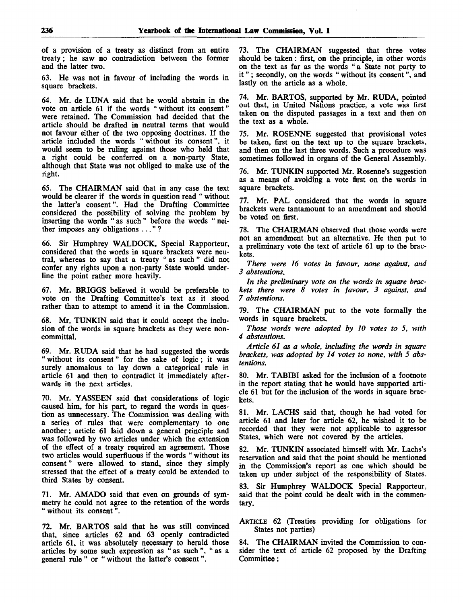of a provision of a treaty as distinct from an entire treaty; he saw no contradiction between the former and the latter two.

63. He was not in favour of including the words in square brackets.

64. Mr. de LUNA said that he would abstain in the vote on article 61 if the words " without its consent" were retained. The Commission had decided that the article should be drafted in neutral terms that would not favour either of the two opposing doctrines. If the article included the words " without its consent", it would seem to be ruling against those who held that a right could be conferred on a non-party State, although that State was not obliged to make use of the right.

65. The CHAIRMAN said that in any case the text would be clearer if the words in question read " without the latter's consent". Had the Drafting Committee considered the possibility of solving the problem by inserting the words " as such " before the words " neither imposes any obligations ... " ?

66. Sir Humphrey WALDOCK, Special Rapporteur, considered that the words in square brackets were neutral, whereas to say that a treaty " as such " did not confer any rights upon a non-party State would underline the point rather more heavily.

67. Mr. BRIGGS believed it would be preferable to vote on the Drafting Committee's text as it stood rather than to attempt to amend it in the Commission.

68. Mr. TUNKIN said that it could accept the inclusion of the words in square brackets as they were noncommittal.

69. Mr. RUDA said that he had suggested the words " without its consent" for the sake of logic; it was surely anomalous to lay down a categorical rule in article 61 and then to contradict it immediately afterwards in the next articles.

70. Mr. YASSEEN said that considerations of logic caused him, for his part, to regard the words in question as unnecessary. The Commission was dealing with a series of rules that were complementary to one another; article 61 laid down a general principle and was followed by two articles under which the extension of the effect of a treaty required an agreement. Those two articles would superfluous if the words " without its consent" were allowed to stand, since they simply stressed that the effect of a treaty could be extended to third States by consent.

71. Mr. AMADO said that even on grounds of symmetry he could not agree to the retention of the words " without its consent".

72. Mr. BARTOS said that he was still convinced that, since articles 62 and 63 openly contradicted article 61, it was absolutely necessary to herald those articles by some such expression as " as such ", " as a general rule " or " without the latter's consent".

73. The CHAIRMAN suggested that three votes should be taken: first, on the principle, in other words on the text as far as the words "a State not party to it " ; secondly, on the words " without its consent", and lastly on the article as a whole.

74. Mr. BARTOS, supported by Mr. RUDA, pointed out that, in United Nations practice, a vote was first taken on the disputed passages in a text and then on the text as a whole.

75. Mr. ROSENNE suggested that provisional votes be taken, first on the text up to the square brackets, and then on the last three words. Such a procedure was sometimes followed in organs of the General Assembly.

76. Mr. TUNKIN supported Mr. Rosenne's suggestion as a means of avoiding a vote first on the words in square brackets.

77. Mr. PAL considered that the words in square brackets were tantamount to an amendment and should be voted on first.

78. The CHAIRMAN observed that those words were not an amendment but an alternative. He then put to a preliminary vote the text of article 61 up to the brackets.

*There were 16 votes in favour, none against, and 3 abstentions.*

*In the preliminary vote on the words in square brackets there were 8 votes in favour, 3 against, and 7 abstentions.*

79. The CHAIRMAN put to the vote formally the words in square brackets.

*Those words were adopted by 10 votes to 5, with 4 abstentions.*

*Article 61 as a whole, including the words in square brackets, was adopted by 14 votes to none, with 5 abstentions.*

80. Mr. TABIBI asked for the inclusion of a footnote in the report stating that he would have supported article 61 but for the inclusion of the words in square brackets.

81. Mr. LACHS said that, though he had voted for article 61 and later for article 62, he wished it to be recorded that they were not applicable to aggressor States, which were not covered by the articles.

82. Mr. TUNKIN associated himself with Mr. Lachs's reservation and said that the point should be mentioned in the Commission's report as one which should be taken up under subject of the responsibility of States.

83. Sir Humphrey WALDOCK Special Rapporteur, said that the point could be dealt with in the commentary.

ARTICLE 62 (Treaties providing for obligations for States not parties)

84. The CHAIRMAN invited the Commission to consider the text of article 62 proposed by the Drafting Committee: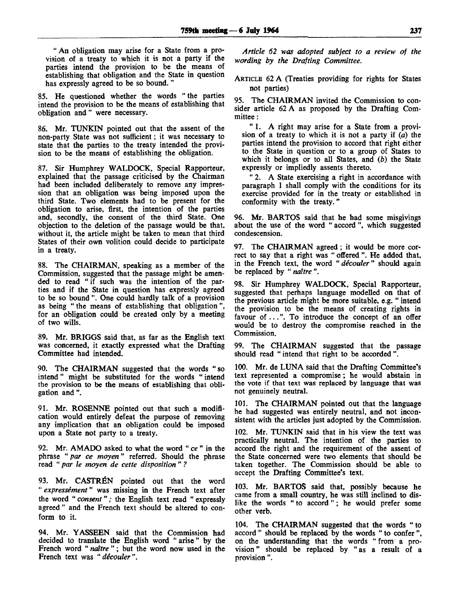" An obligation may arise for a State from a provision of a treaty to which it is not a party if the parties intend the provision to be the means of establishing that obligation and the State in question has expressly agreed to be so bound. "

85. He questioned whether the words " the parties intend the provision to be the means of establishing that obligation and" were necessary.

86. Mr. TUNKIN pointed out that the assent of the non-party State was not sufficient; it was necessary to state that the parties to the treaty intended the provision to be the means of establishing the obligation.

87. Sir Humphrey WALDOCK, Special Rapporteur, explained that the passage criticised by the Chairman had been included deliberately to remove any impression that an obligation was being imposed upon the third State. Two elements had to be present for the obligation to arise, first, the intention of the parties and, secondly, the consent of the third State. One objection to the deletion of the passage would be that, without it, the article might be taken to mean that third States of their own volition could decide to participate in a treaty.

88. The CHAIRMAN, speaking as a member of the Commission, suggested that the passage might be amended to read " if such was the intention of the parties and if the State in question has expressly agreed to be so bound ". One could hardly talk of a provision as being " the means of establishing that obligation ", for an obligation could be created only by a meeting of two wills.

89. Mr. BRIGGS said that, as far as the English text was concerned, it exactly expressed what the Drafting Committee had intended.

90. The CHAIRMAN suggested that the words "so intend" might be substituted for the words " intend the provision to be the means of establishing that obligation and".

91. Mr. ROSENNE pointed out that such a modification would entirely defeat the purpose of removing any implication that an obligation could be imposed upon a State not party to a treaty.

92. Mr. AMADO asked to what the word " *ce "* in the phrase *"par ce moyen"* referred. Should the phrase read " *par le moyen de cette disposition " ?*

93. Mr. CASTREN pointed out that the word " *expressement"* was missing in the French text after the word "*consent*"; the English text read "expressly agreed " and the French text should be altered to conform to it.

94. Mr. YASSEEN said that the Commission had decided to translate the English word " arise" by the French word "*naître*"; but the word now used in the French text was " *decouler* ".

*Article 62 was adopted subject to a review of the wording by the Drafting Committee.*

ARTICLE 62 A (Treaties providing for rights for States not parties)

95. The CHAIRMAN invited the Commission to consider article 62 A as proposed by the Drafting Committee :

" 1. A right may arise for a State from a provision of a treaty to which it is not a party if *(a)* the parties intend the provision to accord that right either to the State in question or to a group of States to which it belongs or to all States, and *(b)* the State expressly or impliedly assents thereto.

" 2. A State exercising a right in accordance with paragraph 1 shall comply with the conditions for its exercise provided for in the treaty or established in conformity with the treaty."

96. Mr. BARTOS said that he had some misgivings about the use of the word " accord ", which suggested condescension.

97. The CHAIRMAN agreed; it would be more correct to say that a right was " offered ". He added that, in the French text, the word *"decouler"* should again be replaced by " *naitre ".*

98. Sir Humphrey WALDOCK, Special Rapporteur, suggested that perhaps language modelled on that of the previous article might be more suitable, e.g. " intend the provision to be the means of creating rights in favour of ...". To introduce the concept of an offer would be to destroy the compromise reached in the Commission.

99. The CHAIRMAN suggested that the passage should read " intend that right to be accorded"

100. Mr. de LUNA said that the Drafting Committee's text represented a compromise; he would abstain in the vote if that text was replaced by language that was not genuinely neutral.

101. The CHAIRMAN pointed out that the language he had suggested was entirely neutral, and not inconsistent with the articles just adopted by the Commission.

102. Mr. TUNKIN said that in his view the text was practically neutral. The intention of the parties to accord the right and the requirement of the assent of the State concerned were two elements that should be taken together. The Commission should be able to accept the Drafting Committee's text.

103. Mr. BARTOS said that, possibly because he came from a small country, he was still inclined to dislike the words " to accord"; he would prefer some other verb.

104. The CHAIRMAN suggested that the words " to accord " should be replaced by the words " to confer ", on the understanding that the words " from a provision " should be replaced by " as a result of a provision ".